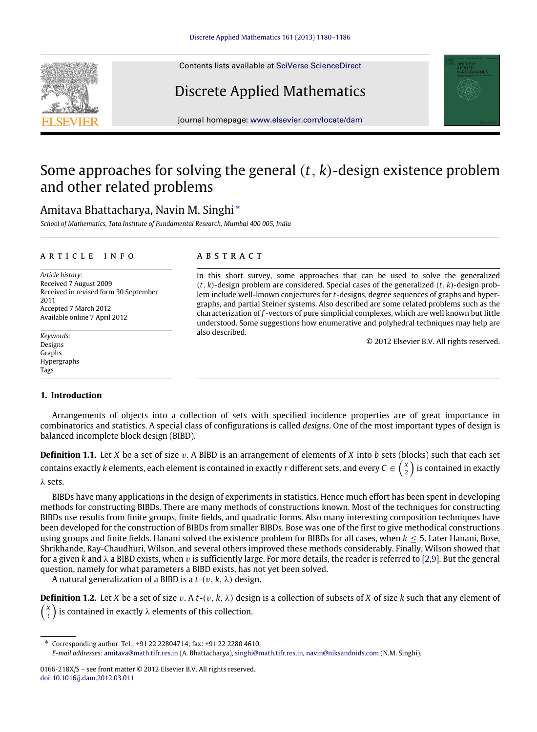Contents lists available at [SciVerse ScienceDirect](http://www.elsevier.com/locate/dam)

# Discrete Applied Mathematics

journal homepage: [www.elsevier.com/locate/dam](http://www.elsevier.com/locate/dam)

## Some approaches for solving the general (*t*, *k*)-design existence problem and other related problems

### Amitava Bhattacharya, Navin M. Singhi [∗](#page-0-0)

*School of Mathematics, Tata Institute of Fundamental Research, Mumbai 400 005, India*

#### a r t i c l e i n f o

*Article history:* Received 7 August 2009 Received in revised form 30 September 2011 Accepted 7 March 2012 Available online 7 April 2012

*Keywords:* Designs Graphs Hypergraphs Tags

#### a b s t r a c t

In this short survey, some approaches that can be used to solve the generalized (*t*, *k*)-design problem are considered. Special cases of the generalized (*t*, *k*)-design problem include well-known conjectures for *t*-designs, degree sequences of graphs and hypergraphs, and partial Steiner systems. Also described are some related problems such as the characterization of *f* -vectors of pure simplicial complexes, which are well known but little understood. Some suggestions how enumerative and polyhedral techniques may help are also described.

© 2012 Elsevier B.V. All rights reserved.

#### **1. Introduction**

Arrangements of objects into a collection of sets with specified incidence properties are of great importance in combinatorics and statistics. A special class of configurations is called *designs*. One of the most important types of design is balanced incomplete block design (BIBD).

**Definition 1.1.** Let *X* be a set of size v. A BIBD is an arrangement of elements of *X* into *b* sets (blocks) such that each set contains exactly *k* elements, each element is contained in exactly  $r$  different sets, and every  $C\in\binom{X}{2}$  is contained in exactly λ sets.

BIBDs have many applications in the design of experiments in statistics. Hence much effort has been spent in developing methods for constructing BIBDs. There are many methods of constructions known. Most of the techniques for constructing BIBDs use results from finite groups, finite fields, and quadratic forms. Also many interesting composition techniques have been developed for the construction of BIBDs from smaller BIBDs. Bose was one of the first to give methodical constructions using groups and finite fields. Hanani solved the existence problem for BIBDs for all cases, when *k* ≤ 5. Later Hanani, Bose, Shrikhande, Ray-Chaudhuri, Wilson, and several others improved these methods considerably. Finally, Wilson showed that for a given *k* and  $\lambda$  a BIBD exists, when *v* is sufficiently large. For more details, the reader is referred to [\[2,](#page-5-0)[9\]](#page-5-1). But the general question, namely for what parameters a BIBD exists, has not yet been solved.

A natural generalization of a BIBD is a  $t-(v, k, \lambda)$  design.

**Definition 1.2.** Let *X* be a set of size v. A  $t$ -(v,  $k$ ,  $\lambda$ ) design is a collection of subsets of *X* of size *k* such that any element of  $\sqrt{2}$ *X t* Ι is contained in exactly  $\lambda$  elements of this collection.



<span id="page-0-0"></span><sup>∗</sup> Corresponding author. Tel.: +91 22 22804714; fax: +91 22 2280 4610. *E-mail addresses:* [amitava@math.tifr.res.in](mailto:amitava@math.tifr.res.in) (A. Bhattacharya), [singhi@math.tifr.res.in,](mailto:singhi@math.tifr.res.in) [navin@niksandnids.com](mailto:navin@niksandnids.com) (N.M. Singhi).

<sup>0166-218</sup>X/\$ – see front matter © 2012 Elsevier B.V. All rights reserved. [doi:10.1016/j.dam.2012.03.011](http://dx.doi.org/10.1016/j.dam.2012.03.011)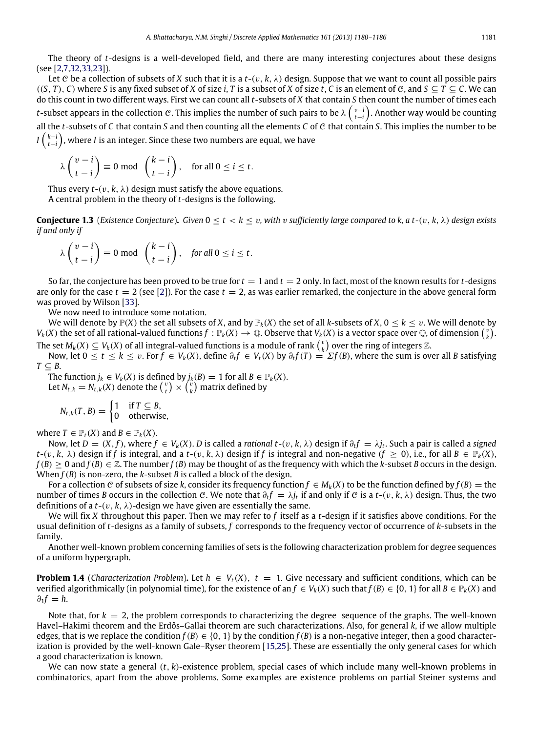The theory of *t*-designs is a well-developed field, and there are many interesting conjectures about these designs (see [\[2](#page-5-0)[,7](#page-5-2)[,32,](#page-6-0)[33](#page-6-1)[,23\]](#page-6-2)).

Let C be a collection of subsets of X such that it is a  $t-(v, k, \lambda)$  design. Suppose that we want to count all possible pairs  $((S, T), C)$  where *S* is any fixed subset of *X* of size *i*, *T* is a subset of *X* of size *t*, *C* is an element of *C*, and  $S \subseteq T \subseteq C$ . We can do this count in two different ways. First we can count all *t*-subsets of *X* that contain *S* then count the number of times each *t*−subset appears in the collection *C*. This implies the number of such pairs to be λ  $\binom{v-i}{t-i}$ . Another way would be counting all the *t*-subsets of *C* that contain *S* and then counting all the elements *C* of C that contain *S*. This implies the number to be *I*  $\left(\begin{smallmatrix} k-i\ t-i\end{smallmatrix}\right)$ , where *I* is an integer. Since these two numbers are equal, we have

$$
\lambda \begin{pmatrix} v-i \\ t-i \end{pmatrix} \equiv 0 \bmod \begin{pmatrix} k-i \\ t-i \end{pmatrix}, \text{ for all } 0 \le i \le t.
$$

Thus every  $t$ - $(v, k, \lambda)$  design must satisfy the above equations. A central problem in the theory of *t*-designs is the following.

**Conjecture 1.3** (*Existence Conjecture*). *Given*  $0 \le t < k \le v$ , *with* v *sufficiently large compared to k, a t-(v, k,*  $\lambda$ *) design exists if and only if*

$$
\lambda \begin{pmatrix} v-i \\ t-i \end{pmatrix} \equiv 0 \text{ mod } \begin{pmatrix} k-i \\ t-i \end{pmatrix}, \text{ for all } 0 \le i \le t.
$$

So far, the conjecture has been proved to be true for  $t = 1$  and  $t = 2$  only. In fact, most of the known results for  $t$ -designs are only for the case  $t = 2$  (see [\[2\]](#page-5-0)). For the case  $t = 2$ , as was earlier remarked, the conjecture in the above general form was proved by Wilson [\[33\]](#page-6-1).

We now need to introduce some notation.

We will denote by  $\mathbb{P}(X)$  the set all subsets of *X*, and by  $\mathbb{P}_k(X)$  the set of all *k*-subsets of *X*,  $0 \le k \le v$ . We will denote by  $V_k(X)$  the set of all rational-valued functions  $f: \mathbb{P}_k(X) \to \mathbb{Q}$ . Observe that  $V_k(X)$  is a vector space over  $\mathbb{Q}$ , of dimension  $\binom{v}{k}$ . The set  $M_k(X) \subseteq V_k(X)$  of all integral-valued functions is a module of rank  $\binom{v}{k}$  over the ring of integers  $\mathbb Z$ .

Now, let  $0 \le t \le k \le v$ . For  $f \in V_k(X)$ , define  $\partial_t f \in V_t(X)$  by  $\partial_t f(T) = \sum f(B)$ , where the sum is over all B satisfying  $T \subseteq B$ .

The function  $j_k \in V_k(X)$  is defined by  $j_k(B) = 1$  for all  $B \in \mathbb{P}_k(X)$ . Let  $N_{t,k} = N_{t,k}(X)$  denote the  $\binom{v}{t} \times \binom{v}{k}$  matrix defined by

$$
N_{t,k}(T, B) = \begin{cases} 1 & \text{if } T \subseteq B, \\ 0 & \text{otherwise,} \end{cases}
$$

where  $T \in \mathbb{P}_t(X)$  and  $B \in \mathbb{P}_k(X)$ .

Now, let  $D = (X, f)$ , where  $f \in V_k(X)$ . D is called a rational  $t$ - $(v, k, \lambda)$  design if  $\partial_t f = \lambda j_t$ . Such a pair is called a signed *t*-(v, *k*,  $\lambda$ ) design if *f* is integral, and a *t*-(v, *k*,  $\lambda$ ) design if *f* is integral and non-negative ( $f \ge 0$ ), i.e., for all  $B \in \mathbb{P}_k(X)$ ,  $f(B) \ge 0$  and  $f(B) \in \mathbb{Z}$ . The number  $f(B)$  may be thought of as the frequency with which the *k*-subset *B* occurs in the design. When *f*(*B*) is non-zero, the *k*-subset *B* is called a block of the design.

For a collection C of subsets of size k, consider its frequency function  $f \in M_k(X)$  to be the function defined by  $f(B)$  = the number of times *B* occurs in the collection C. We note that  $\partial_t f = \lambda j_t$  if and only if C is a *t*-(v, *k*,  $\lambda$ ) design. Thus, the two definitions of a  $t$ - $(v, k, \lambda)$ -design we have given are essentially the same.

We will fix *X* throughout this paper. Then we may refer to *f* itself as a *t*-design if it satisfies above conditions. For the usual definition of *t*-designs as a family of subsets, *f* corresponds to the frequency vector of occurrence of *k*-subsets in the family.

Another well-known problem concerning families of sets is the following characterization problem for degree sequences of a uniform hypergraph.

<span id="page-1-0"></span>**Problem 1.4** (*Characterization Problem*). Let  $h \in V_t(X)$ ,  $t = 1$ . Give necessary and sufficient conditions, which can be verified algorithmically (in polynomial time), for the existence of an  $f \in V_k(X)$  such that  $f(B) \in \{0, 1\}$  for all  $B \in \mathbb{P}_k(X)$  and  $\partial_1 f = h$ .

Note that, for *k* = 2, the problem corresponds to characterizing the degree sequence of the graphs. The well-known Havel–Hakimi theorem and the Erdős–Gallai theorem are such characterizations. Also, for general *k*, if we allow multiple edges, that is we replace the condition  $f(B) \in \{0, 1\}$  by the condition  $f(B)$  is a non-negative integer, then a good characterization is provided by the well-known Gale–Ryser theorem [\[15,](#page-6-3)[25\]](#page-6-4). These are essentially the only general cases for which a good characterization is known.

We can now state a general (*t*, *k*)-existence problem, special cases of which include many well-known problems in combinatorics, apart from the above problems. Some examples are existence problems on partial Steiner systems and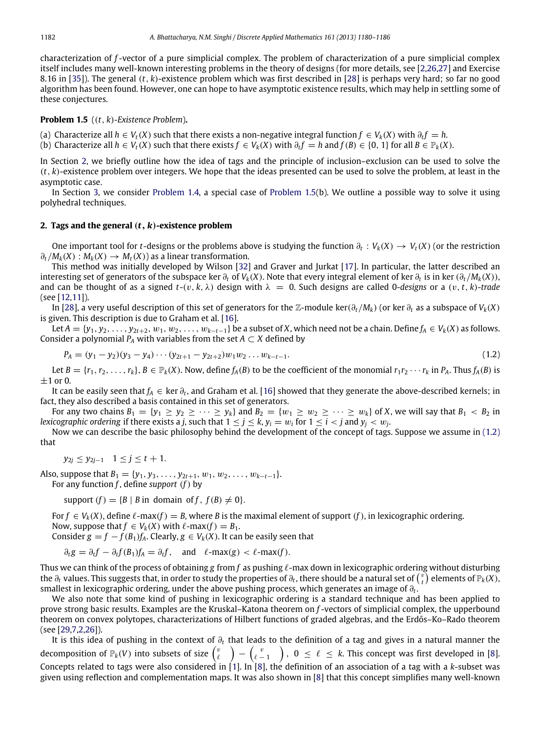characterization of *f* -vector of a pure simplicial complex. The problem of characterization of a pure simplicial complex itself includes many well-known interesting problems in the theory of designs (for more details, see [\[2](#page-5-0)[,26,](#page-6-5)[27\]](#page-6-6) and Exercise 8.16 in [\[35\]](#page-6-7)). The general (*t*, *k*)-existence problem which was first described in [\[28\]](#page-6-8) is perhaps very hard; so far no good algorithm has been found. However, one can hope to have asymptotic existence results, which may help in settling some of these conjectures.

<span id="page-2-1"></span>**Problem 1.5** ((*t*, *k*)*-Existence Problem*)**.**

(a) Characterize all *h* ∈ *Vt*(*X*) such that there exists a non-negative integral function *f* ∈ *Vk*(*X*) with ∂*<sup>t</sup> f* = *h*.

(b) Characterize all  $h \in V_t(X)$  such that there exists  $f \in V_k(X)$  with  $\partial_t f = h$  and  $f(B) \in \{0, 1\}$  for all  $B \in \mathbb{P}_k(X)$ .

In Section [2,](#page-2-0) we briefly outline how the idea of tags and the principle of inclusion–exclusion can be used to solve the  $(t, k)$ -existence problem over integers. We hope that the ideas presented can be used to solve the problem, at least in the asymptotic case.

In Section [3,](#page-4-0) we consider [Problem 1.4,](#page-1-0) a special case of [Problem 1.5\(](#page-2-1)b). We outline a possible way to solve it using polyhedral techniques.

#### <span id="page-2-0"></span>**2. Tags and the general** (*t*, *k*)**-existence problem**

One important tool for *t*-designs or the problems above is studying the function  $\partial_t: V_k(X) \to V_t(X)$  (or the restriction  $\partial_t / M_k(X) : M_k(X) \to M_t(X)$  as a linear transformation.

This method was initially developed by Wilson [\[32\]](#page-6-0) and Graver and Jurkat [\[17\]](#page-6-9). In particular, the latter described an interesting set of generators of the subspace ker ∂*<sup>t</sup>* of *Vk*(*X*). Note that every integral element of ker ∂*<sup>t</sup>* is in ker (∂*t*/*Mk*(*X*)), and can be thought of as a signed  $t$ -(v,  $k$ ,  $\lambda$ ) design with  $\lambda = 0$ . Such designs are called 0-designs or a (v, t, k)-trade (see [\[12,](#page-6-10)[11\]](#page-6-11)).

In [\[28\]](#page-6-8), a very useful description of this set of generators for the Z-module ker( $\partial_t/M_k$ ) (or ker  $\partial_t$  as a subspace of  $V_k(X)$ is given. This description is due to Graham et al. [\[16\]](#page-6-12).

Let  $A = \{y_1, y_2, \ldots, y_{2t+2}, w_1, w_2, \ldots, w_{k-t-1}\}$  be a subset of *X*, which need not be a chain. Define  $f_A \in V_k(X)$  as follows. Consider a polynomial  $P_A$  with variables from the set  $A \subset X$  defined by

<span id="page-2-2"></span>
$$
P_A = (y_1 - y_2)(y_3 - y_4) \cdots (y_{2t+1} - y_{2t+2}) w_1 w_2 \cdots w_{k-t-1}.
$$
\n(1.2)

Let  $B = \{r_1, r_2, \ldots, r_k\}$ ,  $B \in \mathbb{P}_k(X)$ . Now, define  $f_A(B)$  to be the coefficient of the monomial  $r_1r_2 \cdots r_k$  in  $P_A$ . Thus  $f_A(B)$  is  $\pm$ 1 or 0.

It can be easily seen that *f<sub>A</sub>* ∈ ker ∂<sub>t</sub>, and Graham et al. [\[16\]](#page-6-12) showed that they generate the above-described kernels; in fact, they also described a basis contained in this set of generators.

For any two chains  $B_1 = \{y_1 \ge y_2 \ge \cdots \ge y_k\}$  and  $B_2 = \{w_1 \ge w_2 \ge \cdots \ge w_k\}$  of *X*, we will say that  $B_1 < B_2$  in *lexicographic ordering* if there exists a *j*, such that  $1 \leq j \leq k$ ,  $y_i = w_i$  for  $1 \leq i < j$  and  $y_j < w_j$ .

Now we can describe the basic philosophy behind the development of the concept of tags. Suppose we assume in [\(1.2\)](#page-2-2) that

$$
y_{2j} \le y_{2j-1}
$$
  $1 \le j \le t+1$ .

Also, suppose that  $B_1 = \{y_1, y_3, \ldots, y_{2t+1}, w_1, w_2, \ldots, w_{k-t-1}\}.$ For any function *f* , define *support* (*f*) by

support  $(f) = {B | B$  in domain of *f*,  $f(B) \neq 0$ .

For  $f \in V_k(X)$ , define  $\ell$ -max( $f$ ) = B, where B is the maximal element of support (f), in lexicographic ordering.

Now, suppose that  $f \in V_k(X)$  with  $\ell$ -max $(f) = B_1$ .

Consider  $g = f - f(B_1)f_A$ . Clearly,  $g \in V_k(X)$ . It can be easily seen that

 $\partial_t g = \partial_t f - \partial_t f(B_1) f_A = \partial_t f$ , and  $\ell$ -max(*g*) <  $\ell$ -max(*f*).

Thus we can think of the process of obtaining *g* from *f* as pushing ℓ-max down in lexicographic ordering without disturbing the  $\partial_t$  values. This suggests that, in order to study the properties of  $\partial_t$ , there should be a natural set of  $\binom{v}{t}$  elements of  $\mathbb{P}_k(X)$ , smallest in lexicographic ordering, under the above pushing process, which generates an image of  $\partial_t$ .

We also note that some kind of pushing in lexicographic ordering is a standard technique and has been applied to prove strong basic results. Examples are the Kruskal–Katona theorem on *f* -vectors of simplicial complex, the upperbound theorem on convex polytopes, characterizations of Hilbert functions of graded algebras, and the Erdős–Ko–Rado theorem (see [\[29,](#page-6-13)[7,](#page-5-2)[2](#page-5-0)[,26\]](#page-6-5)).

It is this idea of pushing in the context of ∂*<sup>t</sup>* that leads to the definition of a tag and gives in a natural manner the decomposition of  $\mathbb P_k(V)$  into subsets of size  $\binom{v}{\ell} - \binom{v}{\ell-1}$  ,  $\,0\,\leq\,\ell\,\leq\,k.$  This concept was first developed in [\[8\]](#page-5-3). Concepts related to tags were also considered in [\[1\]](#page-5-4). In [\[8\]](#page-5-3), the definition of an association of a tag with a *k*-subset was given using reflection and complementation maps. It was also shown in [\[8\]](#page-5-3) that this concept simplifies many well-known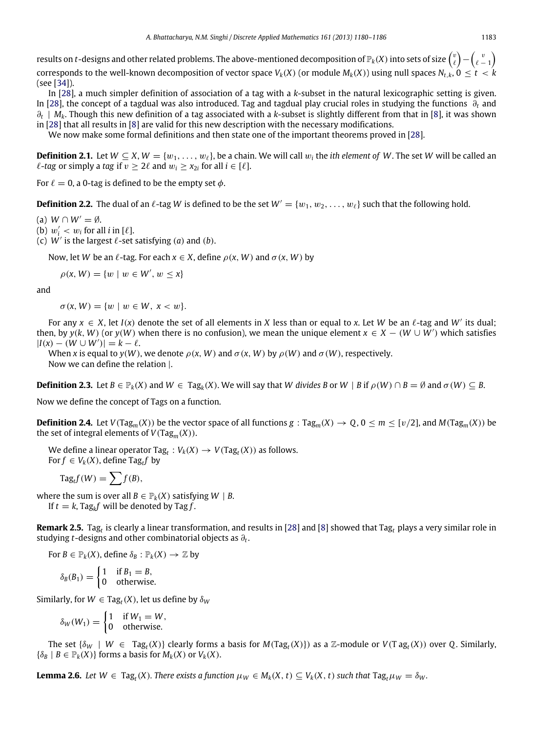results on  $t$ -designs and other related problems. The above-mentioned decomposition of  $\mathbb P_k(X)$  into sets of size  $\binom{v}{\ell}-\binom{v}{\ell-1}$ corresponds to the well-known decomposition of vector space  $V_k(X)$  (or module  $M_k(X)$ ) using null spaces  $N_{t,k}$ ,  $0 \le t \le k$ (see [\[34\]](#page-6-14)).

In [\[28\]](#page-6-8), a much simpler definition of association of a tag with a *k*-subset in the natural lexicographic setting is given. In [\[28\]](#page-6-8), the concept of a tagdual was also introduced. Tag and tagdual play crucial roles in studying the functions ∂*<sup>t</sup>* and ∂*t* | *Mk*. Though this new definition of a tag associated with a *k*-subset is slightly different from that in [\[8\]](#page-5-3), it was shown in [\[28\]](#page-6-8) that all results in [\[8\]](#page-5-3) are valid for this new description with the necessary modifications.

We now make some formal definitions and then state one of the important theorems proved in [\[28\]](#page-6-8).

**Definition 2.1.** Let  $W \subseteq X$ ,  $W = \{w_1, \ldots, w_\ell\}$ , be a chain. We will call  $w_i$  the *ith element of W*. The set *W* will be called an  $\ell$ -tag or simply a tag if  $v \geq 2\ell$  and  $w_i \geq x_{2i}$  for all  $i \in [\ell]$ .

For  $\ell = 0$ , a 0-tag is defined to be the empty set  $\phi$ .

**Definition 2.2.** The dual of an  $\ell$ -tag *W* is defined to be the set  $W' = \{w_1, w_2, \ldots, w_\ell\}$  such that the following hold.

(a)  $W \cap W' = \emptyset$ .

(b)  $w'_i < w_i$  for all *i* in [ $\ell$ ].

(c)  $W'$  is the largest  $\ell$ -set satisfying (*a*) and (*b*).

Now, let *W* be an  $\ell$ -tag. For each  $x \in X$ , define  $\rho(x, W)$  and  $\sigma(x, W)$  by

 $\rho(x, W) = \{w \mid w \in W', w \leq x\}$ 

and

 $\sigma(x, W) = \{w \mid w \in W, x < w\}.$ 

For any  $x \in X$ , let  $I(x)$  denote the set of all elements in X less than or equal to x. Let W be an  $\ell$ -tag and W' its dual; then, by  $y(k, W)$  (or  $y(W)$  when there is no confusion), we mean the unique element  $x \in X - (W \cup W')$  which satisfies  $|I(x) - (W \cup W')| = k - \ell.$ 

When *x* is equal to  $y(W)$ , we denote  $\rho(x, W)$  and  $\sigma(x, W)$  by  $\rho(W)$  and  $\sigma(W)$ , respectively.

Now we can define the relation |.

**Definition 2.3.** Let  $B \in \mathbb{P}_k(X)$  and  $W \in \text{Tag}_k(X)$ . We will say that *W* divides *B* or  $W \mid B$  if  $\rho(W) \cap B = \emptyset$  and  $\sigma(W) \subseteq B$ .

Now we define the concept of Tags on a function.

**Definition 2.4.** Let  $V(Tag_m(X))$  be the vector space of all functions  $g: Tag_m(X) \to Q$ ,  $0 \le m \le \lfloor v/2 \rfloor$ , and  $M(Tag_m(X))$  be the set of integral elements of  $V(Tag_m(X))$ .

We define a linear operator  $\text{Tag}_t : V_k(X) \to V(\text{Tag}_t(X))$  as follows. For  $f \in V_k(X)$ , define Tag<sub>t</sub>f by

$$
\mathrm{Tag}_t f(W) = \sum f(B),
$$

where the sum is over all  $B \in \mathbb{P}_k(X)$  satisfying  $W \mid B$ .

If  $t = k$ , Tag<sub>k</sub>f will be denoted by Tag f.

**Remark 2.5.** Tag*<sup>t</sup>* is clearly a linear transformation, and results in [\[28\]](#page-6-8) and [\[8\]](#page-5-3) showed that Tag*<sup>t</sup>* plays a very similar role in studying *t*-designs and other combinatorial objects as ∂*<sup>t</sup>* .

For  $B \in \mathbb{P}_k(X)$ , define  $\delta_B : \mathbb{P}_k(X) \to \mathbb{Z}$  by

 $\delta_B(B_1) = \begin{cases} 1 & \text{if } B_1 = B, \\ 0 & \text{otherwise} \end{cases}$ 0 otherwise.

Similarly, for  $W \in \text{Tag}_t(X)$ , let us define by  $\delta_W$ 

$$
\delta_W(W_1) = \begin{cases} 1 & \text{if } W_1 = W, \\ 0 & \text{otherwise.} \end{cases}
$$

The set  $\{\delta_W \mid W \in \text{Tag}_t(X)\}$  clearly forms a basis for  $M(\text{Tag}_t(X))$  as a Z-module or  $V(\text{Tag}_t(X))$  over Q. Similarly,  $\{\delta_B \mid B \in \mathbb{P}_k(X)\}$  forms a basis for  $M_k(X)$  or  $V_k(X)$ .

**Lemma 2.6.** Let  $W \in Tag_t(X)$ . There exists a function  $\mu_W \in M_k(X, t) \subseteq V_k(X, t)$  such that  $Tag_t\mu_W = \delta_W$ .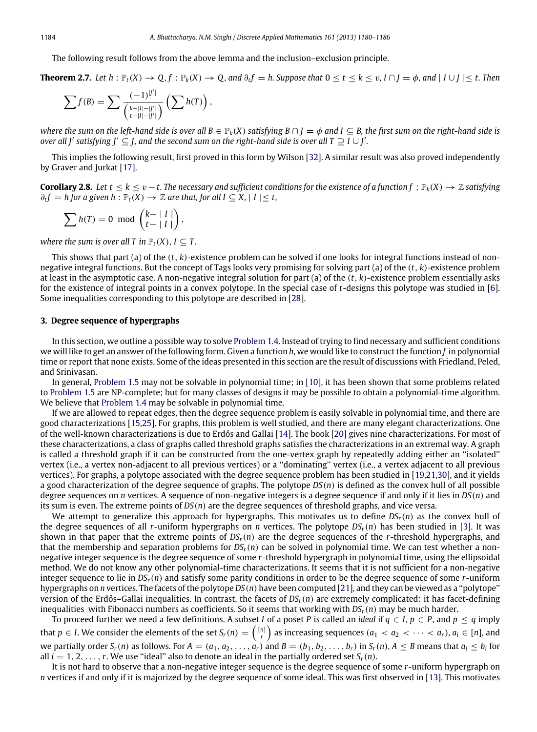The following result follows from the above lemma and the inclusion–exclusion principle.

**Theorem 2.7.** Let  $h : \mathbb{P}_t(X) \to Q, f : \mathbb{P}_k(X) \to Q$ , and  $\partial_t f = h$ . Suppose that  $0 \le t \le k \le v$ ,  $I \cap J = \phi$ , and  $|I \cup J| \le t$ . Then

$$
\sum f(B) = \sum \frac{(-1)^{|U'|}}{\binom{k-|I|-|U'|}{t-|I|-|V'|}} \left(\sum h(T)\right),
$$

*where the sum on the left-hand side is over all*  $B \in \mathbb{P}_k(X)$  *satisfying*  $B \cap I = \emptyset$  *and*  $I \subseteq B$ *, the first sum on the right-hand side is over all J'* satisfying J'  $\subseteq$  J, and the second sum on the right-hand side is over all T  $\supseteq$  *I* ∪ *J'*.

This implies the following result, first proved in this form by Wilson [\[32\]](#page-6-0). A similar result was also proved independently by Graver and Jurkat [\[17\]](#page-6-9).

**Corollary 2.8.** Let  $t \le k \le v - t$ . The necessary and sufficient conditions for the existence of a function  $f : \mathbb{P}_k(X) \to \mathbb{Z}$  satisfying  $∂<sub>t</sub>f$  = *h* for a given *h* :  $\mathbb{P}_t(X)$  →  $\mathbb{Z}$  are that, for all  $I \subseteq X$ ,  $|I| \le t$ ,

$$
\sum h(T) = 0 \text{ mod } {k-|I| \choose t-|I|},
$$

*where the sum is over all T in*  $\mathbb{P}_t(X)$ ,  $I \subseteq T$ .

This shows that part (a) of the (*t*, *k*)-existence problem can be solved if one looks for integral functions instead of nonnegative integral functions. But the concept of Tags looks very promising for solving part (a) of the (*t*, *k*)-existence problem at least in the asymptotic case. A non-negative integral solution for part (a) of the (*t*, *k*)-existence problem essentially asks for the existence of integral points in a convex polytope. In the special case of *t*-designs this polytope was studied in [\[6\]](#page-5-5). Some inequalities corresponding to this polytope are described in [\[28\]](#page-6-8).

### <span id="page-4-0"></span>**3. Degree sequence of hypergraphs**

In this section, we outline a possible way to solve [Problem 1.4.](#page-1-0) Instead of trying to find necessary and sufficient conditions we will like to get an answer of the following form. Given a function *h*, we would like to construct the function *f* in polynomial time or report that none exists. Some of the ideas presented in this section are the result of discussions with Friedland, Peled, and Srinivasan.

In general, [Problem 1.5](#page-2-1) may not be solvable in polynomial time; in [\[10\]](#page-6-15), it has been shown that some problems related to [Problem 1.5](#page-2-1) are NP-complete; but for many classes of designs it may be possible to obtain a polynomial-time algorithm. We believe that [Problem 1.4](#page-1-0) may be solvable in polynomial time.

If we are allowed to repeat edges, then the degree sequence problem is easily solvable in polynomial time, and there are good characterizations [\[15](#page-6-3)[,25\]](#page-6-4). For graphs, this problem is well studied, and there are many elegant characterizations. One of the well-known characterizations is due to Erdős and Gallai [\[14\]](#page-6-16). The book [\[20\]](#page-6-17) gives nine characterizations. For most of these characterizations, a class of graphs called threshold graphs satisfies the characterizations in an extremal way. A graph is called a threshold graph if it can be constructed from the one-vertex graph by repeatedly adding either an ''isolated'' vertex (i.e., a vertex non-adjacent to all previous vertices) or a ''dominating'' vertex (i.e., a vertex adjacent to all previous vertices). For graphs, a polytope associated with the degree sequence problem has been studied in [\[19](#page-6-18)[,21,](#page-6-19)[30\]](#page-6-20), and it yields a good characterization of the degree sequence of graphs. The polytope *DS*(*n*) is defined as the convex hull of all possible degree sequences on *n* vertices. A sequence of non-negative integers is a degree sequence if and only if it lies in *DS*(*n*) and its sum is even. The extreme points of *DS*(*n*) are the degree sequences of threshold graphs, and vice versa.

We attempt to generalize this approach for hypergraphs. This motivates us to define  $DS_r(n)$  as the convex hull of the degree sequences of all *r*-uniform hypergraphs on *n* vertices. The polytope *DSr*(*n*) has been studied in [\[3\]](#page-5-6). It was shown in that paper that the extreme points of *DSr*(*n*) are the degree sequences of the *r*-threshold hypergraphs, and that the membership and separation problems for  $DS_r(n)$  can be solved in polynomial time. We can test whether a nonnegative integer sequence is the degree sequence of some *r*-threshold hypergraph in polynomial time, using the ellipsoidal method. We do not know any other polynomial-time characterizations. It seems that it is not sufficient for a non-negative integer sequence to lie in *DSr*(*n*) and satisfy some parity conditions in order to be the degree sequence of some *r*-uniform hypergraphs on *n* vertices. The facets of the polytope *DS*(*n*) have been computed [\[21\]](#page-6-19), and they can be viewed as a ''polytope'' version of the Erdős–Gallai inequalities. In contrast, the facets of *DSr*(*n*) are extremely complicated: it has facet-defining inequalities with Fibonacci numbers as coefficients. So it seems that working with *DSr*(*n*) may be much harder.

To proceed further we need a few definitions. A subset *I* of a poset *P* is called an *ideal* if  $q \in I$ ,  $p \in P$ , and  $p \le q$  imply that  $p \in I$ . We consider the elements of the set  $S_r(n) = \binom{[n]}{r}$  as increasing sequences  $(a_1 < a_2 < \cdots < a_r)$ ,  $a_i \in [n]$ , and we partially order  $S_r(n)$  as follows. For  $A=(a_1,a_2,\ldots,a_r)$  and  $B=(b_1,b_2,\ldots,b_r)$  in  $S_r(n)$ ,  $A\leq B$  means that  $a_i\leq b_i$  for all  $i = 1, 2, \ldots, r$ . We use "ideal" also to denote an ideal in the partially ordered set  $S_r(n)$ .

It is not hard to observe that a non-negative integer sequence is the degree sequence of some *r*-uniform hypergraph on *n* vertices if and only if it is majorized by the degree sequence of some ideal. This was first observed in [\[13\]](#page-6-21). This motivates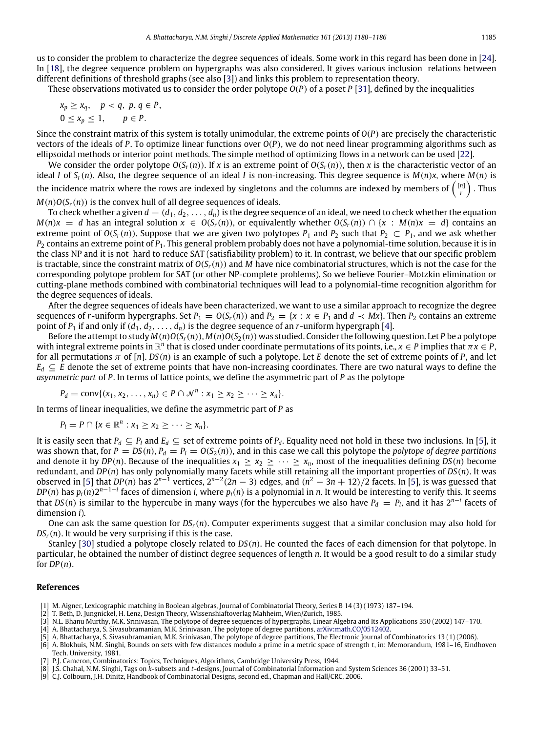These observations motivated us to consider the order polytope *O*(*P*) of a poset *P* [\[31\]](#page-6-24), defined by the inequalities

$$
x_p \ge x_q, \quad p < q, \ p, q \in P, \\ 0 \le x_p \le 1, \quad p \in P.
$$

Since the constraint matrix of this system is totally unimodular, the extreme points of *O*(*P*) are precisely the characteristic vectors of the ideals of *P*. To optimize linear functions over *O*(*P*), we do not need linear programming algorithms such as ellipsoidal methods or interior point methods. The simple method of optimizing flows in a network can be used [\[22\]](#page-6-25).

We consider the order polytope  $O(S_r(n))$ . If x is an extreme point of  $O(S_r(n))$ , then x is the characteristic vector of an ideal *I* of  $S_r(n)$ . Also, the degree sequence of an ideal *I* is non-increasing. This degree sequence is  $M(n)x$ , where  $M(n)$  is the incidence matrix where the rows are indexed by singletons and the columns are indexed by members of  $\binom{[n]}{r}$  . Thus  $M(n)O(S_r(n))$  is the convex hull of all degree sequences of ideals.

To check whether a given  $d = (d_1, d_2, \ldots, d_n)$  is the degree sequence of an ideal, we need to check whether the equation  $M(n)x = d$  has an integral solution  $x \in O(S_r(n))$ , or equivalently whether  $O(S_r(n)) \cap \{x : M(n)x = d\}$  contains an extreme point of  $O(S_r(n))$ . Suppose that we are given two polytopes  $P_1$  and  $P_2$  such that  $P_2 \subset P_1$ , and we ask whether *P*<sup>2</sup> contains an extreme point of *P*1. This general problem probably does not have a polynomial-time solution, because it is in the class NP and it is not hard to reduce SAT (satisfiability problem) to it. In contrast, we believe that our specific problem is tractable, since the constraint matrix of  $O(S_r(n))$  and *M* have nice combinatorial structures, which is not the case for the corresponding polytope problem for SAT (or other NP-complete problems). So we believe Fourier–Motzkin elimination or cutting-plane methods combined with combinatorial techniques will lead to a polynomial-time recognition algorithm for the degree sequences of ideals.

After the degree sequences of ideals have been characterized, we want to use a similar approach to recognize the degree sequences of *r*-uniform hypergraphs. Set  $P_1 = O(S_r(n))$  and  $P_2 = \{x : x \in P_1 \text{ and } d \prec Mx\}$ . Then  $P_2$  contains an extreme point of  $P_1$  if and only if  $(d_1, d_2, \ldots, d_n)$  is the degree sequence of an *r*-uniform hypergraph [\[4\]](#page-5-7).

Before the attempt to study  $M(n)O(S_r(n))$ ,  $M(n)O(S_2(n))$  was studied. Consider the following question. Let *P* be a polytope with integral extreme points in  $\mathbb{R}^n$  that is closed under coordinate permutations of its points, i.e.,  $x \in P$  implies that  $\pi x \in P$ , for all permutations  $\pi$  of  $[n]$ .  $DS(n)$  is an example of such a polytope. Let *E* denote the set of extreme points of *P*, and let  $E_d \subseteq E$  denote the set of extreme points that have non-increasing coordinates. There are two natural ways to define the *asymmetric part* of *P*. In terms of lattice points, we define the asymmetric part of *P* as the polytope

$$
P_d = \text{conv}\{(x_1, x_2, \ldots, x_n) \in P \cap \mathcal{N}^n : x_1 \geq x_2 \geq \cdots \geq x_n\}.
$$

In terms of linear inequalities, we define the asymmetric part of *P* as

$$
P_l = P \cap \{x \in \mathbb{R}^n : x_1 \geq x_2 \geq \cdots \geq x_n\}.
$$

It is easily seen that  $P_d \subseteq P_l$  and  $E_d \subseteq$  set of extreme points of  $P_d$ . Equality need not hold in these two inclusions. In [\[5\]](#page-5-8), it was shown that, for  $P = DS(n)$ ,  $P_d = P_l = O(S_2(n))$ , and in this case we call this polytope the *polytope of degree partitions* and denote it by *DP*(*n*). Because of the inequalities  $x_1 \ge x_2 \ge \cdots \ge x_n$ , most of the inequalities defining *DS*(*n*) become redundant, and *DP*(*n*) has only polynomially many facets while still retaining all the important properties of *DS*(*n*). It was observed in [\[5\]](#page-5-8) that *DP*(*n*) has  $2^{n-1}$  vertices,  $2^{n-2}$ (2*n* − 3) edges, and ( $n^2$  − 3*n* + 12)/2 facets. In [5], is was guessed that  $DP(n)$  has  $p_i(n)2^{n-1-i}$  faces of dimension *i*, where  $p_i(n)$  is a polynomial in *n*. It would be interesting to verify this. It seems that *DS*(*n*) is similar to the hypercube in many ways (for the hypercubes we also have  $P_d = P_l$ , and it has  $2^{n-i}$  facets of dimension *i*).

One can ask the same question for *DSr*(*n*). Computer experiments suggest that a similar conclusion may also hold for  $DS_r(n)$ . It would be very surprising if this is the case.

Stanley [\[30\]](#page-6-20) studied a polytope closely related to *DS*(*n*). He counted the faces of each dimension for that polytope. In particular, he obtained the number of distinct degree sequences of length *n*. It would be a good result to do a similar study for *DP*(*n*).

#### **References**

- <span id="page-5-4"></span>[1] M. Aigner, Lexicographic matching in Boolean algebras, Journal of Combinatorial Theory, Series B 14 (3) (1973) 187–194.
- <span id="page-5-0"></span>[2] T. Beth, D. Jungnickel, H. Lenz, Design Theory, Wissenshiaftoverlag Mahheim, Wien/Zurich, 1985.
- <span id="page-5-6"></span>[3] N.L. Bhanu Murthy, M.K. Srinivasan, The polytope of degree sequences of hypergraphs, Linear Algebra and Its Applications 350 (2002) 147–170.
- <span id="page-5-7"></span>[4] A. Bhattacharya, S. Sivasubramanian, M.K. Srinivasan, The polytope of degree partitions, [arXiv:math.CO/0512402.](http://arxiv.org/math.CO/0512402)
- <span id="page-5-8"></span>[5] A. Bhattacharya, S. Sivasubramanian, M.K. Srinivasan, The polytope of degree partitions, The Electronic Journal of Combinatorics 13 (1) (2006).
- <span id="page-5-5"></span>[6] A. Blokhuis, N.M. Singhi, Bounds on sets with few distances modulo a prime in a metric space of strength *t*, in: Memorandum, 1981–16, Eindhoven Tech. University, 1981.
- <span id="page-5-2"></span>[7] P.J. Cameron, Combinatorics: Topics, Techniques, Algorithms, Cambridge University Press, 1944.
- <span id="page-5-3"></span>[8] J.S. Chahal, N.M. Singhi, Tags on *k*-subsets and *t*-designs, Journal of Combinatorial Information and System Sciences 36 (2001) 33–51.
- <span id="page-5-1"></span>[9] C.J. Colbourn, J.H. Dinitz, Handbook of Combinatorial Designs, second ed., Chapman and Hall/CRC, 2006.